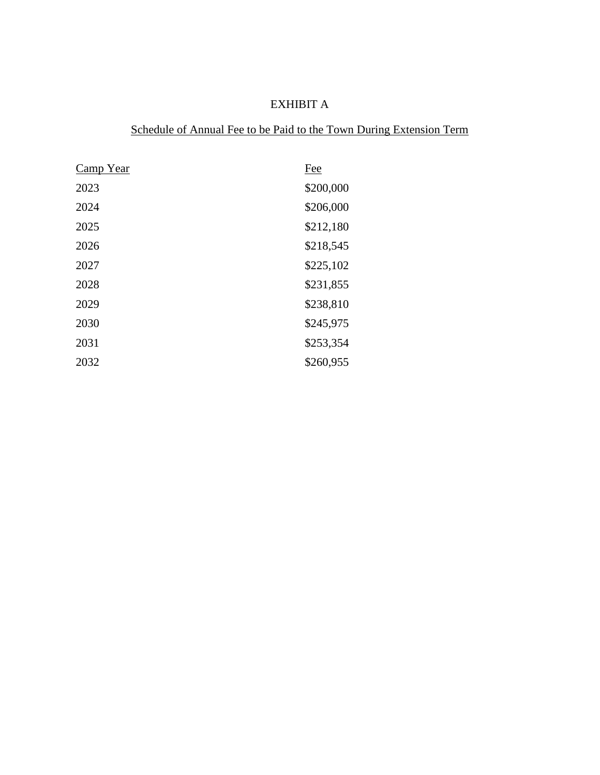# EXHIBIT A

## Schedule of Annual Fee to be Paid to the Town During Extension Term

| <b>Camp Year</b> | Fee       |
|------------------|-----------|
| 2023             | \$200,000 |
| 2024             | \$206,000 |
| 2025             | \$212,180 |
| 2026             | \$218,545 |
| 2027             | \$225,102 |
| 2028             | \$231,855 |
| 2029             | \$238,810 |
| 2030             | \$245,975 |
| 2031             | \$253,354 |
| 2032             | \$260,955 |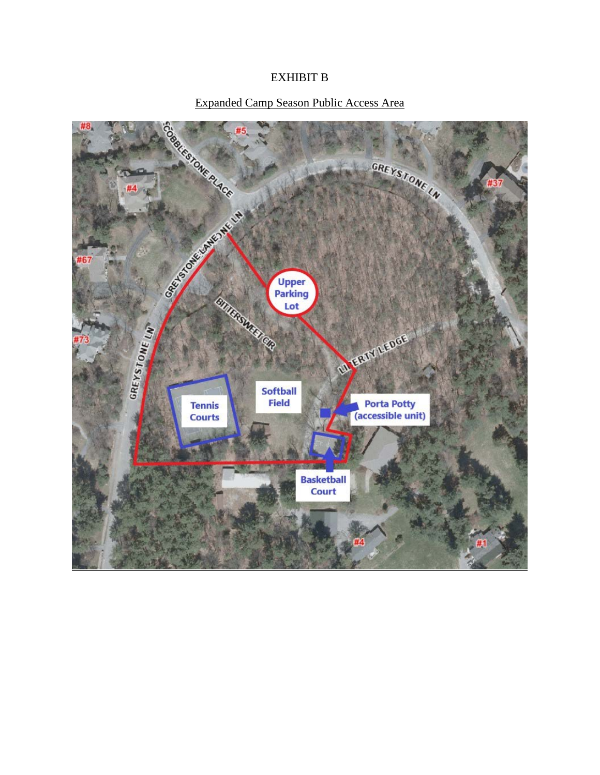### EXHIBIT B

### Expanded Camp Season Public Access Area

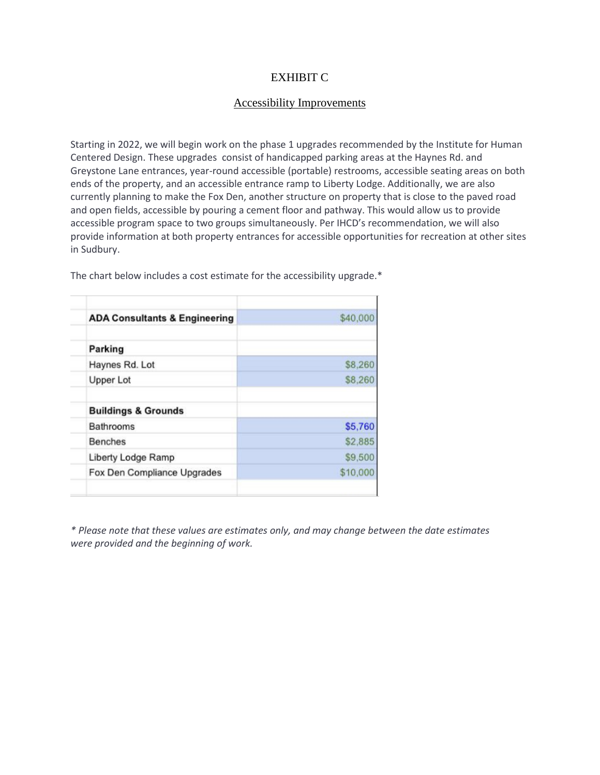#### EXHIBIT C

#### Accessibility Improvements

Starting in 2022, we will begin work on the phase 1 upgrades recommended by the Institute for Human Centered Design. These upgrades consist of handicapped parking areas at the Haynes Rd. and Greystone Lane entrances, year-round accessible (portable) restrooms, accessible seating areas on both ends of the property, and an accessible entrance ramp to Liberty Lodge. Additionally, we are also currently planning to make the Fox Den, another structure on property that is close to the paved road and open fields, accessible by pouring a cement floor and pathway. This would allow us to provide accessible program space to two groups simultaneously. Per IHCD's recommendation, we will also provide information at both property entrances for accessible opportunities for recreation at other sites in Sudbury.

| <b>ADA Consultants &amp; Engineering</b> | \$40,000 |
|------------------------------------------|----------|
| Parking                                  |          |
| Haynes Rd. Lot                           | \$8,260  |
| <b>Upper Lot</b>                         | \$8,260  |
| <b>Buildings &amp; Grounds</b>           |          |
| Bathrooms                                | \$5,760  |
| Benches                                  | \$2,885  |
| Liberty Lodge Ramp                       | \$9,500  |
| Fox Den Compliance Upgrades              | \$10,000 |

The chart below includes a cost estimate for the accessibility upgrade.\*

*\* Please note that these values are estimates only, and may change between the date estimates were provided and the beginning of work.*